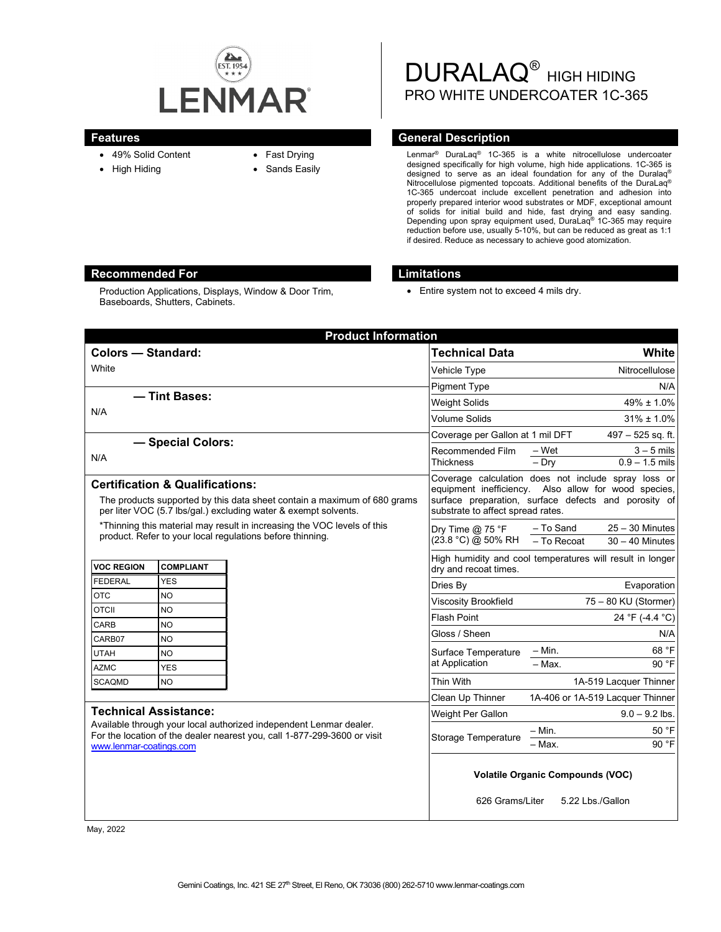

- 49% Solid Content
- High Hiding
- Fast Drying
- Sands Easily

DURALAQ<sup>®</sup> HIGH HIDING PRO WHITE UNDERCOATER 1C-365

### **Features General Description**

Lenmar® DuraLaq® 1C-365 is a white nitrocellulose undercoater designed specifically for high volume, high hide applications. 1C-365 is designed to serve as an ideal foundation for any of the Duralaq® Nitrocellulose pigmented topcoats. Additional benefits of the DuraLaq® 1C-365 undercoat include excellent penetration and adhesion into properly prepared interior wood substrates or MDF, exceptional amount of solids for initial build and hide, fast drying and easy sanding. Depending upon spray equipment used, DuraLaq® 1C-365 may require reduction before use, usually 5-10%, but can be reduced as great as 1:1 if desired. Reduce as necessary to achieve good atomization.

# **Recommended For Limitations**

Production Applications, Displays, Window & Door Trim, Baseboards, Shutters, Cabinets.

• Entire system not to exceed 4 mils dry.

| <b>Product Information</b>                                                                                                                                                                                |                        |  |                                                                                                                                                                                                          |                                                                                    |                                  |  |
|-----------------------------------------------------------------------------------------------------------------------------------------------------------------------------------------------------------|------------------------|--|----------------------------------------------------------------------------------------------------------------------------------------------------------------------------------------------------------|------------------------------------------------------------------------------------|----------------------------------|--|
| <b>Colors - Standard:</b>                                                                                                                                                                                 |                        |  | <b>Technical Data</b>                                                                                                                                                                                    |                                                                                    | White                            |  |
| White                                                                                                                                                                                                     |                        |  | Vehicle Type                                                                                                                                                                                             |                                                                                    | Nitrocellulose                   |  |
|                                                                                                                                                                                                           |                        |  | <b>Pigment Type</b>                                                                                                                                                                                      |                                                                                    | N/A                              |  |
| - Tint Bases:<br>N/A                                                                                                                                                                                      |                        |  | <b>Weight Solids</b>                                                                                                                                                                                     |                                                                                    | $49\% \pm 1.0\%$                 |  |
|                                                                                                                                                                                                           |                        |  | <b>Volume Solids</b>                                                                                                                                                                                     | $31\% \pm 1.0\%$                                                                   |                                  |  |
|                                                                                                                                                                                                           |                        |  | Coverage per Gallon at 1 mil DFT                                                                                                                                                                         |                                                                                    | 497 - 525 sq. ft.                |  |
| - Special Colors:<br>N/A                                                                                                                                                                                  |                        |  | Recommended Film<br>Thickness                                                                                                                                                                            | – Wet                                                                              | $3 - 5$ mils                     |  |
|                                                                                                                                                                                                           |                        |  |                                                                                                                                                                                                          | $-$ Dry                                                                            | $0.9 - 1.5$ mils                 |  |
| <b>Certification &amp; Qualifications:</b><br>The products supported by this data sheet contain a maximum of 680 grams<br>per liter VOC (5.7 lbs/gal.) excluding water & exempt solvents.                 |                        |  | Coverage calculation does not include spray loss or<br>equipment inefficiency. Also allow for wood species,<br>surface preparation, surface defects and porosity of<br>substrate to affect spread rates. |                                                                                    |                                  |  |
| *Thinning this material may result in increasing the VOC levels of this<br>product. Refer to your local regulations before thinning.                                                                      |                        |  | Dry Time $@$ 75 °F<br>(23.8 °C) @ 50% RH                                                                                                                                                                 | - To Sand                                                                          | $25 - 30$ Minutes                |  |
|                                                                                                                                                                                                           |                        |  |                                                                                                                                                                                                          | - To Recoat                                                                        | $30 - 40$ Minutes                |  |
| <b>VOC REGION</b>                                                                                                                                                                                         | <b>COMPLIANT</b>       |  |                                                                                                                                                                                                          | High humidity and cool temperatures will result in longer<br>dry and recoat times. |                                  |  |
| <b>FEDERAL</b>                                                                                                                                                                                            | <b>YES</b>             |  | Dries By                                                                                                                                                                                                 |                                                                                    | Evaporation                      |  |
| <b>OTC</b>                                                                                                                                                                                                | <b>NO</b>              |  | Viscosity Brookfield                                                                                                                                                                                     |                                                                                    | 75 - 80 KU (Stormer)             |  |
| <b>OTCII</b>                                                                                                                                                                                              | <b>NO</b>              |  | <b>Flash Point</b>                                                                                                                                                                                       |                                                                                    | 24 °F (-4.4 °C)                  |  |
| CARB                                                                                                                                                                                                      | <b>NO</b>              |  | Gloss / Sheen                                                                                                                                                                                            |                                                                                    | N/A                              |  |
| CARB07                                                                                                                                                                                                    | <b>NO</b><br><b>NO</b> |  | Surface Temperature                                                                                                                                                                                      | $-$ Min.                                                                           | 68 °F                            |  |
| <b>UTAH</b><br><b>AZMC</b>                                                                                                                                                                                | <b>YES</b>             |  | at Application                                                                                                                                                                                           | $-$ Max.                                                                           | 90 °F                            |  |
| <b>SCAQMD</b>                                                                                                                                                                                             | <b>NO</b>              |  | Thin With                                                                                                                                                                                                |                                                                                    | 1A-519 Lacquer Thinner           |  |
|                                                                                                                                                                                                           |                        |  | Clean Up Thinner                                                                                                                                                                                         |                                                                                    | 1A-406 or 1A-519 Lacquer Thinner |  |
| <b>Technical Assistance:</b><br>Available through your local authorized independent Lenmar dealer.<br>For the location of the dealer nearest you, call 1-877-299-3600 or visit<br>www.lenmar-coatings.com |                        |  | Weight Per Gallon                                                                                                                                                                                        |                                                                                    | $9.0 - 9.2$ lbs.                 |  |
|                                                                                                                                                                                                           |                        |  | <b>Storage Temperature</b>                                                                                                                                                                               | – Min.                                                                             | 50 °F                            |  |
|                                                                                                                                                                                                           |                        |  |                                                                                                                                                                                                          | - Max.                                                                             | 90 °F                            |  |
|                                                                                                                                                                                                           |                        |  | <b>Volatile Organic Compounds (VOC)</b><br>626 Grams/Liter<br>5.22 Lbs./Gallon                                                                                                                           |                                                                                    |                                  |  |

May, 2022